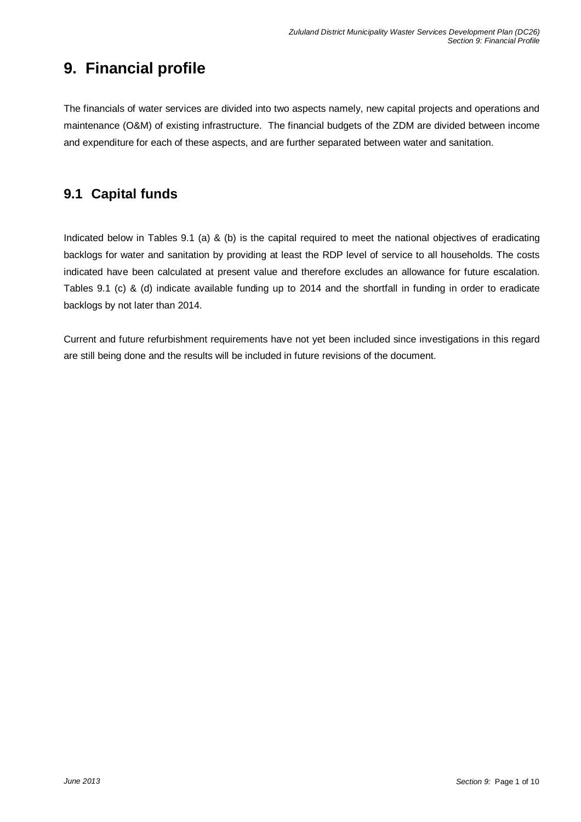# **9. Financial profile**

The financials of water services are divided into two aspects namely, new capital projects and operations and maintenance (O&M) of existing infrastructure. The financial budgets of the ZDM are divided between income and expenditure for each of these aspects, and are further separated between water and sanitation.

### **9.1 Capital funds**

Indicated below in Tables 9.1 (a) & (b) is the capital required to meet the national objectives of eradicating backlogs for water and sanitation by providing at least the RDP level of service to all households. The costs indicated have been calculated at present value and therefore excludes an allowance for future escalation. Tables 9.1 (c) & (d) indicate available funding up to 2014 and the shortfall in funding in order to eradicate backlogs by not later than 2014.

Current and future refurbishment requirements have not yet been included since investigations in this regard are still being done and the results will be included in future revisions of the document.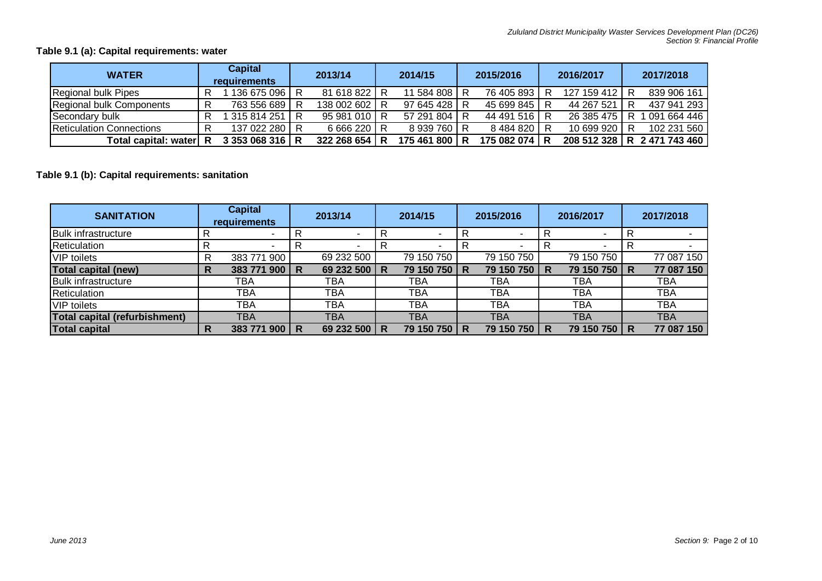### **Table 9.1 (a): Capital requirements: water**

| <b>WATER</b>                    | <b>Capital</b><br><b>requirements</b> |               | 2013/14 |               | 2014/15 |             | 2015/2016 |               | 2016/2017 |               | 2017/2018 |                             |
|---------------------------------|---------------------------------------|---------------|---------|---------------|---------|-------------|-----------|---------------|-----------|---------------|-----------|-----------------------------|
| Regional bulk Pipes             |                                       | 136 675 096   |         | 81 618 822 R  |         | 11 584 808  | R         | 76 405 893    |           | 127 159 412 R |           | 839 906 161                 |
| Regional bulk Components        |                                       | 763 556 689   | R       | 138 002 602 R |         | 97 645 428  |           | 45 699 845 R  |           | 44 267 521    |           | 437 941 293                 |
| Secondary bulk                  |                                       | 315 814 251   | R       | 95 981 010 R  |         | 57 291 804  |           | 44 491 516 R  |           | 26 385 475    |           | 091 664 446                 |
| <b>Reticulation Connections</b> |                                       | 137 022 280   |         | 6 666 220 R   |         | 8 939 760   |           | 8484820 R     |           | 10 699 920 R  |           | 102 231 560                 |
| Total capital: water            | -R                                    | 3 353 068 316 | R       | 322 268 654 R |         | 175 461 800 | R         | 175 082 074 R |           |               |           | 208 512 328 R 2 471 743 460 |

### **Table 9.1 (b): Capital requirements: sanitation**

| <b>SANITATION</b>                    |   | <b>Capital</b><br>requirements | 2013/14 |            | 2014/15 |            | 2015/2016 |            | 2016/2017 |              | 2017/2018 |            |
|--------------------------------------|---|--------------------------------|---------|------------|---------|------------|-----------|------------|-----------|--------------|-----------|------------|
| <b>Bulk infrastructure</b>           |   |                                |         |            |         |            |           |            | R         |              |           |            |
| Reticulation                         |   |                                |         |            |         |            |           |            | R         |              |           |            |
| VIP toilets                          |   | 900<br>383 771                 |         | 69 232 500 |         | 79 150 750 |           | 79 150 750 |           | 79 150 750   |           | 77 087 150 |
| <b>Total capital (new)</b>           | R | 900<br>383 771                 | R       | 69 232 500 | R       | 79 150 750 | R         | 79 150 750 | R         | 79 150 750 R |           | 77 087 150 |
| <b>Bulk infrastructure</b>           |   | TBA                            |         | ТВА        |         | ТВА        |           | ТВА        |           | TBA          |           | <b>TBA</b> |
| Reticulation                         |   | <b>TBA</b>                     |         | <b>TBA</b> |         | <b>TBA</b> |           | <b>TBA</b> |           | <b>TBA</b>   |           | <b>TBA</b> |
| <b>VIP</b> toilets                   |   | <b>TBA</b>                     |         | <b>TBA</b> |         | <b>TBA</b> |           | TBA        |           | <b>TBA</b>   |           | <b>TBA</b> |
| <b>Total capital (refurbishment)</b> |   | ТВА                            |         | <b>TBA</b> |         | <b>TBA</b> |           | TBA        |           | <b>TBA</b>   |           | <b>TBA</b> |
| <b>Total capital</b>                 | R | 383 771<br>900                 | R       | 69 232 500 | R       | 79 150 750 | R         | 79 150 750 | R         | 79 150 750   | R         | 77 087 150 |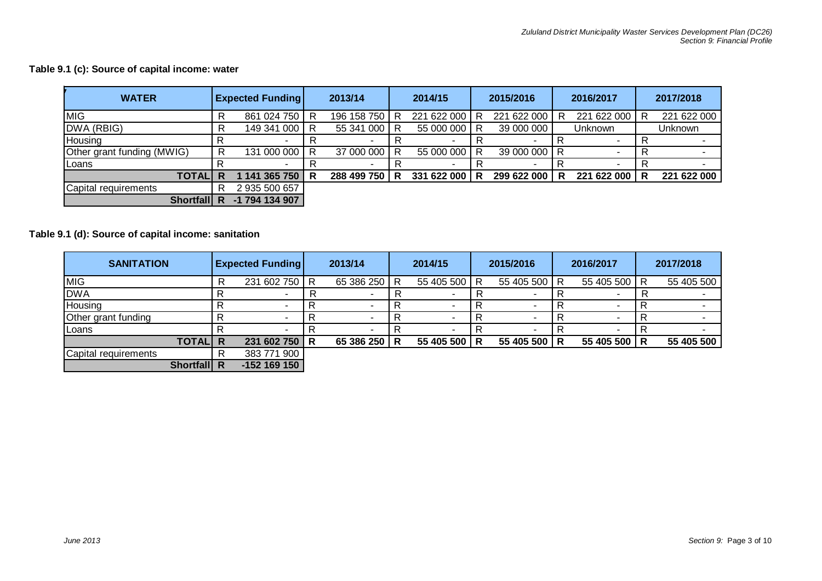### **Table 9.1 (c): Source of capital income: water**

| <b>WATER</b>               |   | <b>Expected Funding</b> |   | 2013/14                  |   | 2014/15     |   | 2015/2016    |   | 2016/2017   |   | 2017/2018      |
|----------------------------|---|-------------------------|---|--------------------------|---|-------------|---|--------------|---|-------------|---|----------------|
| <b>MIG</b>                 |   | 861 024 750             | R | 196 158 750              |   | 221 622 000 | R | 221 622 000  | R | 221 622 000 | R | 221 622 000    |
| DWA (RBIG)                 |   | 149 341 000             | R | 55 341 000               | R | 55 000 000  | R | 39 000 000   |   | Unknown     |   | <b>Unknown</b> |
| Housing                    |   |                         |   |                          |   |             |   |              |   |             |   |                |
| Other grant funding (MWIG) |   | 131 000 000             | R | 37 000 000               | R | 55 000 000  | R | 39 000 000 R |   |             |   |                |
| <b>Loans</b>               |   |                         |   | $\overline{\phantom{a}}$ |   |             |   | $\sim$       |   | -           |   |                |
| <b>TOTAL</b>               | R | 141 365 750             | R | 288 499 750              | R | 331 622 000 | R | 299 622 000  | R | 221 622 000 | R | 221 622 000    |
| Capital requirements       |   | 2 935 500 657           |   |                          |   |             |   |              |   |             |   |                |
| <b>Shortfall</b>           |   | 794 134 907<br>-1       |   |                          |   |             |   |              |   |             |   |                |

### **Table 9.1 (d): Source of capital income: sanitation**

| <b>SANITATION</b>    |   | <b>Expected Funding</b> | 2013/14 |            | 2014/15 |            | 2015/2016 |            | 2016/2017 |              | 2017/2018 |            |
|----------------------|---|-------------------------|---------|------------|---------|------------|-----------|------------|-----------|--------------|-----------|------------|
| <b>MIG</b>           | R | 231 602 750             | R       | 65 386 250 | R       | 55 405 500 | R         | 55 405 500 | R         | 55 405 500 R |           | 55 405 500 |
| <b>DWA</b>           |   |                         |         |            |         |            |           |            |           |              |           |            |
| Housing              |   | $\sim$                  |         |            |         |            |           |            |           |              |           |            |
| Other grant funding  |   |                         |         |            |         |            |           |            |           |              |           |            |
| Loans                |   |                         |         |            |         |            |           |            |           |              |           |            |
| <b>TOTAL R</b>       |   | 231 602 750             | R       | 65 386 250 | R       | 55 405 500 | R         | 55 405 500 | R         | 55 405 500 R |           | 55 405 500 |
| Capital requirements |   | 383 771 900             |         |            |         |            |           |            |           |              |           |            |
| Shortfall R          |   | $-152$ 169 150          |         |            |         |            |           |            |           |              |           |            |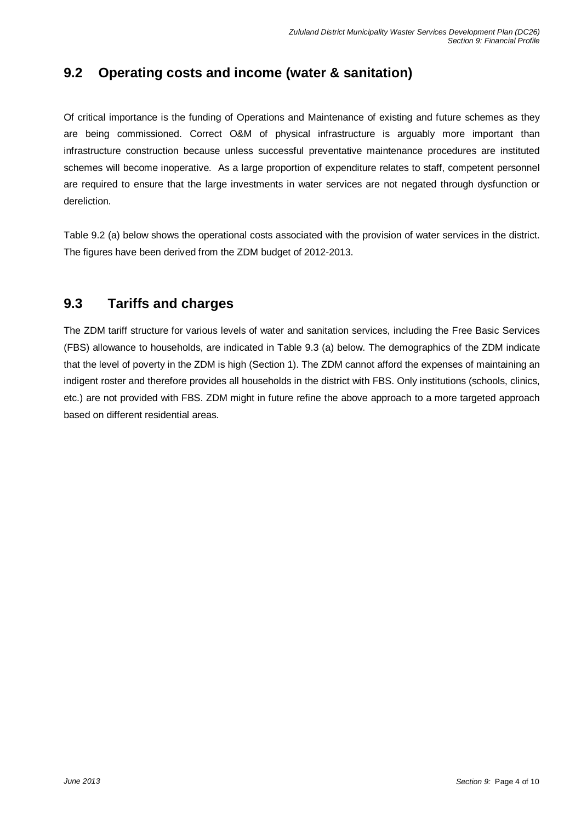## **9.2 Operating costs and income (water & sanitation)**

Of critical importance is the funding of Operations and Maintenance of existing and future schemes as they are being commissioned. Correct O&M of physical infrastructure is arguably more important than infrastructure construction because unless successful preventative maintenance procedures are instituted schemes will become inoperative. As a large proportion of expenditure relates to staff, competent personnel are required to ensure that the large investments in water services are not negated through dysfunction or dereliction.

Table 9.2 (a) below shows the operational costs associated with the provision of water services in the district. The figures have been derived from the ZDM budget of 2012-2013.

### **9.3 Tariffs and charges**

The ZDM tariff structure for various levels of water and sanitation services, including the Free Basic Services (FBS) allowance to households, are indicated in Table 9.3 (a) below. The demographics of the ZDM indicate that the level of poverty in the ZDM is high (Section 1). The ZDM cannot afford the expenses of maintaining an indigent roster and therefore provides all households in the district with FBS. Only institutions (schools, clinics, etc.) are not provided with FBS. ZDM might in future refine the above approach to a more targeted approach based on different residential areas.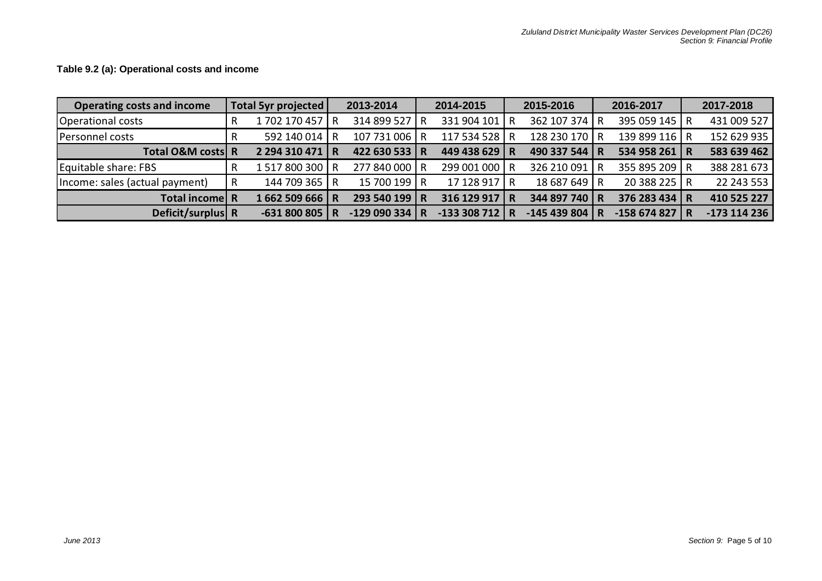| <b>Operating costs and income</b> |   | <b>Total 5yr projected</b> | 2013-2014      | 2014-2015       | 2015-2016     |   | 2016-2017     |     | 2017-2018    |
|-----------------------------------|---|----------------------------|----------------|-----------------|---------------|---|---------------|-----|--------------|
| Operational costs                 | R | 1702 170 457 R             | 314 899 527 R  | 331 904 101   R | 362 107 374 R |   | 395 059 145 R |     | 431 009 527  |
| Personnel costs                   |   | 592 140 014 R              | 107 731 006 R  | 117 534 528 R   | 128 230 170 R |   | 139 899 116 R |     | 152 629 935  |
| Total O&M costs R                 |   | 2 294 310 471 R            | 422 630 533 R  | 449 438 629 R   | 490 337 544   | R | 534 958 261 R |     | 583 639 462  |
| Equitable share: FBS              |   | 1517800300 R               | 277 840 000 R  | 299 001 000 R   | 326 210 091   |   | 355 895 209 R |     | 388 281 673  |
| Income: sales (actual payment)    | R | 144 709 365 R              | 15 700 199 LR  | 17 128 917 R    | 18 687 649 R  |   | 20 388 225 R  |     | 22 243 553   |
| Total income R                    |   | 1662 509 666 R             | 293 540 199 R  | 316 129 917 R   | 344 897 740   | R | 376 283 434 R |     | 410 525 227  |
| Deficit/surplus R                 |   | $-631800805$ R             | $-129090334$ R | $-133308712$ R  | -145 439 804  |   | -158 674 827  | 1 R | -173 114 236 |

**Table 9.2 (a): Operational costs and income**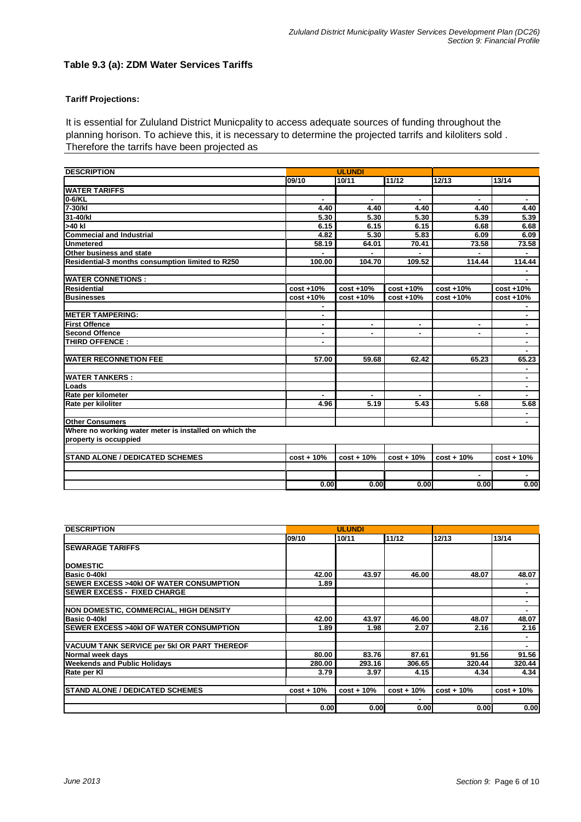#### **Table 9.3 (a): ZDM Water Services Tariffs**

#### **Tariff Projections:**

It is essential for Zululand District Municpality to access adequate sources of funding throughout the planning horison. To achieve this, it is necessary to determine the projected tarrifs and kiloliters sold . Therefore the tarrifs have been projected as

| <b>DESCRIPTION</b>                                     | <b>ULUNDI</b> |                |              |                |                |  |  |
|--------------------------------------------------------|---------------|----------------|--------------|----------------|----------------|--|--|
|                                                        | 09/10         | 10/11          | 11/12        | 12/13          | 13/14          |  |  |
| <b>WATER TARIFFS</b>                                   |               |                |              |                |                |  |  |
| 0-6/KL                                                 |               |                |              |                |                |  |  |
| 7-30/kl                                                | 4.40          | 4.40           | 4.40         | 4.40           | 4.40           |  |  |
| 31-40/kl                                               | 5.30          | 5.30           | 5.30         | 5.39           | 5.39           |  |  |
| >40 kl                                                 | 6.15          | 6.15           | 6.15         | 6.68           | 6.68           |  |  |
| <b>Commecial and Industrial</b>                        | 4.82          | 5.30           | 5.83         | 6.09           | 6.09           |  |  |
| <b>Unmetered</b>                                       | 58.19         | 64.01          | 70.41        | 73.58          | 73.58          |  |  |
| <b>Other business and state</b>                        |               |                |              |                |                |  |  |
| Residential-3 months consumption limited to R250       | 100.00        | 104.70         | 109.52       | 114.44         | 114.44         |  |  |
|                                                        |               |                |              |                |                |  |  |
| <b>WATER CONNETIONS:</b>                               |               |                |              |                |                |  |  |
| <b>Residential</b>                                     | $cost + 10%$  | $cost + 10%$   | $cost + 10%$ | $cost + 10%$   | $cost + 10%$   |  |  |
| <b>Businesses</b>                                      | cost +10%     | $cost + 10%$   | $cost + 10%$ | $cost + 10%$   | cost +10%      |  |  |
|                                                        | ٠             |                |              |                | ۰              |  |  |
| <b>IMETER TAMPERING:</b>                               | ۰             |                |              |                | ٠              |  |  |
| <b>First Offence</b>                                   | ٠             | $\blacksquare$ | ٠            | ٠              | ٠.             |  |  |
| <b>Second Offence</b>                                  | ٠             | ٠              | ٠            | $\blacksquare$ | ٠              |  |  |
| THIRD OFFENCE:                                         | ٠             |                |              |                | ٠              |  |  |
|                                                        |               |                |              |                |                |  |  |
| <b>WATER RECONNETION FEE</b>                           | 57.00         | 59.68          | 62.42        | 65.23          | 65.23          |  |  |
|                                                        |               |                |              |                |                |  |  |
| <b>WATER TANKERS:</b>                                  |               |                |              |                | $\blacksquare$ |  |  |
| Loads                                                  |               |                |              |                | $\blacksquare$ |  |  |
| Rate per kilometer                                     |               |                |              |                |                |  |  |
| Rate per kiloliter                                     | 4.96          | 5.19           | 5.43         | 5.68           | 5.68           |  |  |
|                                                        |               |                |              |                |                |  |  |
| <b>Other Consumers</b>                                 |               |                |              |                |                |  |  |
| Where no working water meter is installed on which the |               |                |              |                |                |  |  |
| property is occuppied                                  |               |                |              |                |                |  |  |
|                                                        |               |                |              |                |                |  |  |
| <b>STAND ALONE / DEDICATED SCHEMES</b>                 | $cost + 10%$  | $cost + 10%$   | $cost + 10%$ | $cost + 10%$   | $cost + 10%$   |  |  |
|                                                        |               |                |              |                |                |  |  |
|                                                        |               |                |              | ٠              | ٠              |  |  |
|                                                        | 0.00          | 0.00           | 0.00         | 0.00           | 0.00           |  |  |

| <b>DESCRIPTION</b>                                 |              | <b>ULUNDI</b> |              |              |              |
|----------------------------------------------------|--------------|---------------|--------------|--------------|--------------|
|                                                    | 09/10        | 10/11         | 11/12        | 12/13        | 13/14        |
| <b>SEWARAGE TARIFFS</b>                            |              |               |              |              |              |
|                                                    |              |               |              |              |              |
| <b>IDOMESTIC</b>                                   |              |               |              |              |              |
| Basic 0-40kl                                       | 42.00        | 43.97         | 46.00        | 48.07        | 48.07        |
| <b>ISEWER EXCESS &gt;40kI OF WATER CONSUMPTION</b> | 1.89         |               |              |              |              |
| <b>SEWER EXCESS - FIXED CHARGE</b>                 |              |               |              |              | ۰            |
|                                                    |              |               |              |              |              |
| <b>NON DOMESTIC, COMMERCIAL, HIGH DENSITY</b>      |              |               |              |              |              |
| Basic 0-40kl                                       | 42.00        | 43.97         | 46.00        | 48.07        | 48.07        |
| <b>SEWER EXCESS &gt;40kl OF WATER CONSUMPTION</b>  | 1.89         | 1.98          | 2.07         | 2.16         | 2.16         |
|                                                    |              |               |              |              |              |
| VACUUM TANK SERVICE per 5kl OR PART THEREOF        |              |               |              |              |              |
| Normal week days                                   | 80.00        | 83.76         | 87.61        | 91.56        | 91.56        |
| <b>Weekends and Public Holidays</b>                | 280.00       | 293.16        | 306.65       | 320.44       | 320.44       |
| Rate per Kl                                        | 3.79         | 3.97          | 4.15         | 4.34         | 4.34         |
|                                                    |              |               |              |              |              |
| <b>ISTAND ALONE / DEDICATED SCHEMES</b>            | $cost + 10%$ | $cost + 10%$  | $cost + 10%$ | $cost + 10%$ | $cost + 10%$ |
|                                                    |              |               |              |              |              |
|                                                    | 0.001        | 0.00          | 0.00         | 0.00         | 0.00         |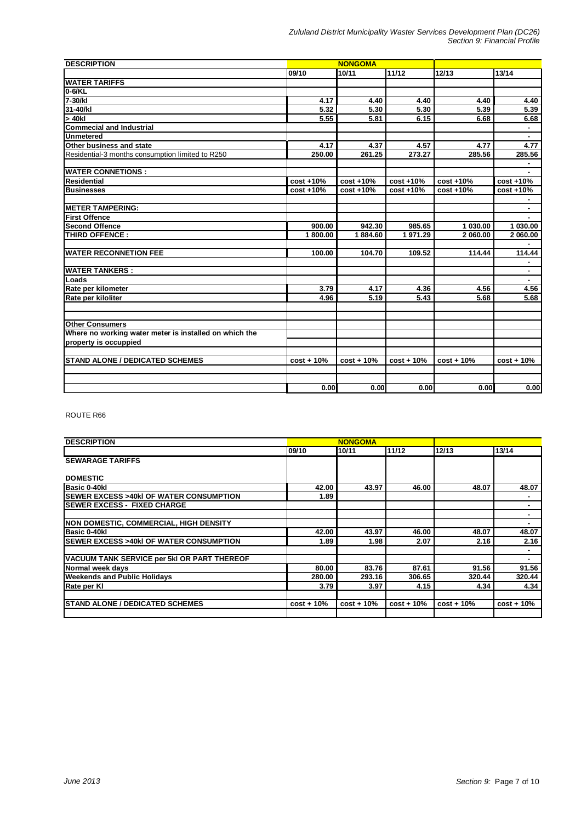| <b>DESCRIPTION</b>                                     |              | <b>NONGOMA</b> |               |              |              |
|--------------------------------------------------------|--------------|----------------|---------------|--------------|--------------|
|                                                        | 09/10        | 10/11          | 11/12         | 12/13        | 13/14        |
| <b>WATER TARIFFS</b>                                   |              |                |               |              |              |
| 0-6/KL                                                 |              |                |               |              |              |
| $7-30/kl$                                              | 4.17         | 4.40           | 4.40          | 4.40         | 4.40         |
| 31-40/kl                                               | 5.32         | 5.30           | 5.30          | 5.39         | 5.39         |
| > 40kl                                                 | 5.55         | 5.81           | 6.15          | 6.68         | 6.68         |
| <b>Commecial and Industrial</b>                        |              |                |               |              |              |
| <b>Unmetered</b>                                       |              |                |               |              | ٠            |
| Other business and state                               | 4.17         | 4.37           | 4.57          | 4.77         | 4.77         |
| Residential-3 months consumption limited to R250       | 250.00       | 261.25         | 273.27        | 285.56       | 285.56       |
|                                                        |              |                |               |              |              |
| <b>WATER CONNETIONS:</b>                               |              |                |               |              |              |
| <b>Residential</b>                                     | $cost + 10%$ | $cost + 10%$   | $cost + 10%$  | $cost + 10%$ | $cost + 10%$ |
| <b>Businesses</b>                                      | $cost + 10%$ | cost +10%      | $cost + 10\%$ | cost +10%    | cost +10%    |
|                                                        |              |                |               |              |              |
| <b>METER TAMPERING:</b>                                |              |                |               |              | ٠            |
| <b>First Offence</b>                                   |              |                |               |              |              |
| <b>Second Offence</b>                                  | 900.00       | 942.30         | 985.65        | 1 030.00     | 1 030.00     |
| THIRD OFFENCE:                                         | 1800.00      | 1884.60        | 1 971.29      | 2 060.00     | 2 060.00     |
|                                                        |              |                |               |              |              |
| <b>WATER RECONNETION FEE</b>                           | 100.00       | 104.70         | 109.52        | 114.44       | 114.44       |
|                                                        |              |                |               |              |              |
| <b>WATER TANKERS:</b>                                  |              |                |               |              | ٠            |
| Loads                                                  |              |                |               |              |              |
| Rate per kilometer                                     | 3.79         | 4.17           | 4.36          | 4.56         | 4.56         |
| Rate per kiloliter                                     | 4.96         | 5.19           | 5.43          | 5.68         | 5.68         |
|                                                        |              |                |               |              |              |
| <b>Other Consumers</b>                                 |              |                |               |              |              |
| Where no working water meter is installed on which the |              |                |               |              |              |
| property is occuppied                                  |              |                |               |              |              |
| <b>STAND ALONE / DEDICATED SCHEMES</b>                 | $cost + 10%$ | $cost + 10%$   | $cost + 10%$  | $cost + 10%$ | $cost + 10%$ |
|                                                        |              |                |               |              |              |
|                                                        |              |                |               |              |              |
|                                                        | 0.00         | 0.00           | 0.00          | 0.00         | 0.00         |

#### ROUTE R66

| <b>DESCRIPTION</b>                                 |              | <b>NONGOMA</b> |              |              |                |
|----------------------------------------------------|--------------|----------------|--------------|--------------|----------------|
|                                                    | 09/10        | 10/11          | 11/12        | 12/13        | 13/14          |
| <b>SEWARAGE TARIFFS</b>                            |              |                |              |              |                |
| <b>DOMESTIC</b>                                    |              |                |              |              |                |
| Basic 0-40kl                                       | 42.00        | 43.97          | 46.00        | 48.07        | 48.07          |
| <b>ISEWER EXCESS &gt;40kI OF WATER CONSUMPTION</b> | 1.89         |                |              |              | $\blacksquare$ |
| <b>ISEWER EXCESS - FIXED CHARGE</b>                |              |                |              |              | ٠              |
|                                                    |              |                |              |              | $\blacksquare$ |
| <b>INON DOMESTIC, COMMERCIAL, HIGH DENSITY</b>     |              |                |              |              |                |
| <b>Basic 0-40kl</b>                                | 42.00        | 43.97          | 46.00        | 48.07        | 48.07          |
| <b>ISEWER EXCESS &gt;40kI OF WATER CONSUMPTION</b> | 1.89         | 1.98           | 2.07         | 2.16         | 2.16           |
| VACUUM TANK SERVICE per 5kI OR PART THEREOF        |              |                |              |              | $\blacksquare$ |
| Normal week days                                   | 80.00        | 83.76          | 87.61        | 91.56        | 91.56          |
| <b>Weekends and Public Holidays</b>                | 280.00       | 293.16         | 306.65       | 320.44       | 320.44         |
| Rate per KI                                        | 3.79         | 3.97           | 4.15         | 4.34         | 4.34           |
| <b>ISTAND ALONE / DEDICATED SCHEMES</b>            | $cost + 10%$ | $cost + 10%$   | $cost + 10%$ | $cost + 10%$ | $cost + 10%$   |
|                                                    |              |                |              |              |                |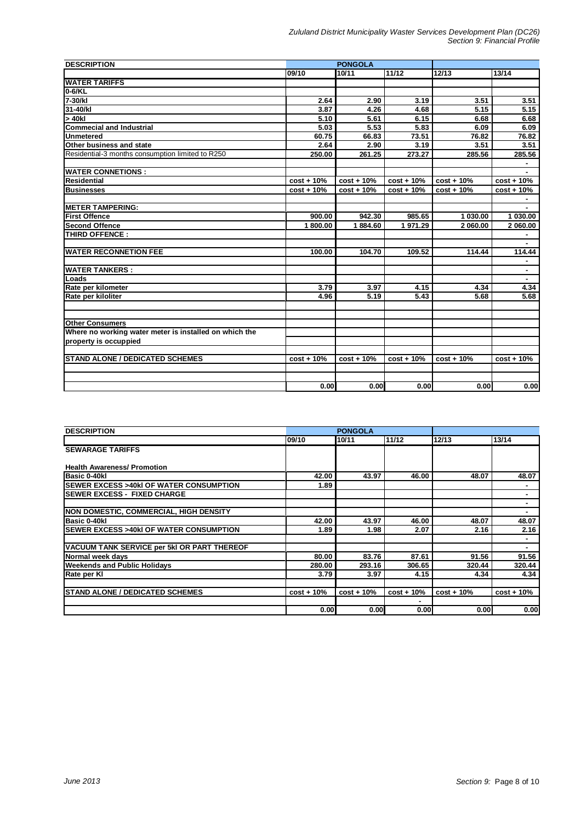| <b>DESCRIPTION</b>                                     |              | <b>PONGOLA</b> |              |              |              |
|--------------------------------------------------------|--------------|----------------|--------------|--------------|--------------|
|                                                        | 09/10        | 10/11          | 11/12        | 12/13        | 13/14        |
| <b>WATER TARIFFS</b>                                   |              |                |              |              |              |
| $0-6/KL$                                               |              |                |              |              |              |
| 7-30/kl                                                | 2.64         | 2.90           | 3.19         | 3.51         | 3.51         |
| 31-40/kl                                               | 3.87         | 4.26           | 4.68         | 5.15         | 5.15         |
| > 40kl                                                 | 5.10         | 5.61           | 6.15         | 6.68         | 6.68         |
| <b>Commecial and Industrial</b>                        | 5.03         | 5.53           | 5.83         | 6.09         | 6.09         |
| <b>Unmetered</b>                                       | 60.75        | 66.83          | 73.51        | 76.82        | 76.82        |
| Other business and state                               | 2.64         | 2.90           | 3.19         | 3.51         | 3.51         |
| Residential-3 months consumption limited to R250       | 250.00       | 261.25         | 273.27       | 285.56       | 285.56       |
|                                                        |              |                |              |              |              |
| <b>WATER CONNETIONS :</b>                              |              |                |              |              |              |
| <b>Residential</b>                                     | $cost + 10%$ | $cost + 10%$   | $cost + 10%$ | $cost + 10%$ | $cost + 10%$ |
| <b>Businesses</b>                                      | $cost + 10%$ | $cost + 10%$   | $cost + 10%$ | $cost + 10%$ | $cost + 10%$ |
|                                                        |              |                |              |              |              |
| <b>IMETER TAMPERING:</b>                               |              |                |              |              |              |
| <b>First Offence</b>                                   | 900.00       | 942.30         | 985.65       | 1 030.00     | 1 030.00     |
| <b>Second Offence</b>                                  | 1800.00      | 1884.60        | 1 971.29     | 2 060.00     | 2 060.00     |
| THIRD OFFENCE:                                         |              |                |              |              |              |
|                                                        |              |                |              |              |              |
| <b>WATER RECONNETION FEE</b>                           | 100.00       | 104.70         | 109.52       | 114.44       | 114.44       |
|                                                        |              |                |              |              |              |
| <b>WATER TANKERS :</b>                                 |              |                |              |              | ٠            |
| Loads                                                  |              |                |              |              |              |
| Rate per kilometer                                     | 3.79         | 3.97           | 4.15         | 4.34         | 4.34         |
| Rate per kiloliter                                     | 4.96         | 5.19           | 5.43         | 5.68         | 5.68         |
|                                                        |              |                |              |              |              |
|                                                        |              |                |              |              |              |
| <b>Other Consumers</b>                                 |              |                |              |              |              |
| Where no working water meter is installed on which the |              |                |              |              |              |
| property is occuppied                                  |              |                |              |              |              |
|                                                        |              |                |              |              |              |
| <b>STAND ALONE / DEDICATED SCHEMES</b>                 | $cost + 10%$ | $cost + 10%$   | $cost + 10%$ | $cost + 10%$ | $cost + 10%$ |
|                                                        |              |                |              |              |              |
|                                                        |              |                |              |              |              |
|                                                        | 0.00         | 0.00           | 0.00         | 0.00         | 0.00         |

| <b>DESCRIPTION</b>                                 |              | <b>PONGOLA</b> |              |              |              |
|----------------------------------------------------|--------------|----------------|--------------|--------------|--------------|
|                                                    | 09/10        | 10/11          | 11/12        | 12/13        | 13/14        |
| <b>SEWARAGE TARIFFS</b>                            |              |                |              |              |              |
|                                                    |              |                |              |              |              |
| <b>Health Awareness/ Promotion</b>                 |              |                |              |              |              |
| Basic 0-40kl                                       | 42.00        | 43.97          | 46.00        | 48.07        | 48.07        |
| <b>ISEWER EXCESS &gt;40kI OF WATER CONSUMPTION</b> | 1.89         |                |              |              |              |
| <b>ISEWER EXCESS - FIXED CHARGE</b>                |              |                |              |              | ٠            |
|                                                    |              |                |              |              |              |
| <b>INON DOMESTIC, COMMERCIAL, HIGH DENSITY</b>     |              |                |              |              |              |
| Basic 0-40kl                                       | 42.00        | 43.97          | 46.00        | 48.07        | 48.07        |
| <b>ISEWER EXCESS &gt;40kI OF WATER CONSUMPTION</b> | 1.89         | 1.98           | 2.07         | 2.16         | 2.16         |
|                                                    |              |                |              |              | ٠            |
| VACUUM TANK SERVICE per 5kl OR PART THEREOF        |              |                |              |              |              |
| Normal week days                                   | 80.00        | 83.76          | 87.61        | 91.56        | 91.56        |
| <b>Weekends and Public Holidays</b>                | 280.00       | 293.16         | 306.65       | 320.44       | 320.44       |
| Rate per Kl                                        | 3.79         | 3.97           | 4.15         | 4.34         | 4.34         |
|                                                    |              |                |              |              |              |
| <b>ISTAND ALONE / DEDICATED SCHEMES</b>            | $cost + 10%$ | $cost + 10%$   | $cost + 10%$ | $cost + 10%$ | $cost + 10%$ |
|                                                    |              |                |              |              |              |
|                                                    | 0.00         | 0.00           | 0.00         | 0.00         | 0.00         |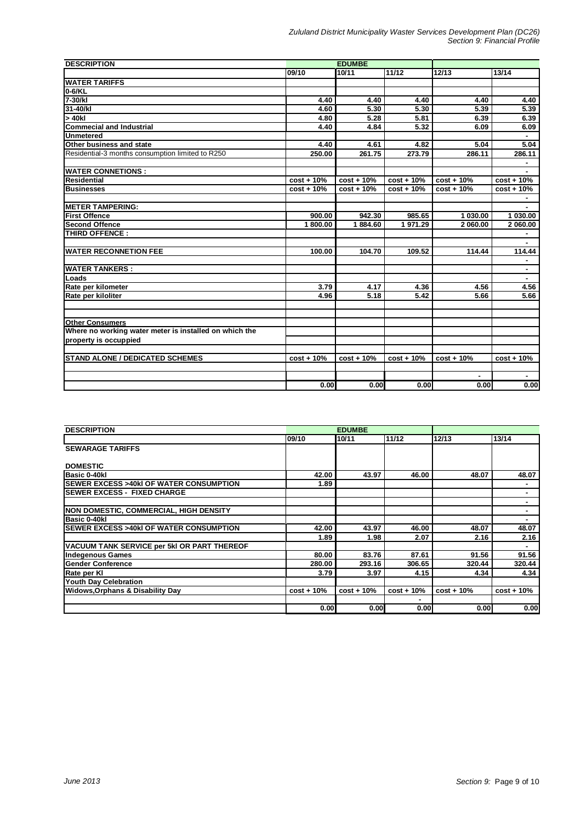| <b>DESCRIPTION</b>                                     |              | <b>EDUMBE</b> |              |              |              |
|--------------------------------------------------------|--------------|---------------|--------------|--------------|--------------|
|                                                        | 09/10        | 10/11         | 11/12        | 12/13        | 13/14        |
| <b>WATER TARIFFS</b>                                   |              |               |              |              |              |
| 0-6/KL                                                 |              |               |              |              |              |
| 7-30/kl                                                | 4.40         | 4.40          | 4.40         | 4.40         | 4.40         |
| 31-40/kl                                               | 4.60         | 5.30          | 5.30         | 5.39         | 5.39         |
| > 40kl                                                 | 4.80         | 5.28          | 5.81         | 6.39         | 6.39         |
| <b>Commecial and Industrial</b>                        | 4.40         | 4.84          | 5.32         | 6.09         | 6.09         |
| <b>Unmetered</b>                                       |              |               |              |              |              |
| Other business and state                               | 4.40         | 4.61          | 4.82         | 5.04         | 5.04         |
| Residential-3 months consumption limited to R250       | 250.00       | 261.75        | 273.79       | 286.11       | 286.11       |
|                                                        |              |               |              |              |              |
| <b>WATER CONNETIONS:</b>                               |              |               |              |              |              |
| <b>Residential</b>                                     | $cost + 10%$ | $cost + 10%$  | $cost + 10%$ | $cost + 10%$ | $cost + 10%$ |
| <b>Businesses</b>                                      | $cost + 10%$ | $cost + 10%$  | $cost + 10%$ | $cost + 10%$ | $cost + 10%$ |
|                                                        |              |               |              |              |              |
| <b>IMETER TAMPERING:</b>                               |              |               |              |              |              |
| <b>First Offence</b>                                   | 900.00       | 942.30        | 985.65       | 1 030.00     | 1 030.00     |
| <b>Second Offence</b>                                  | 1800.00      | 1884.60       | 1 971.29     | 2 060.00     | 2 060.00     |
| THIRD OFFENCE:                                         |              |               |              |              |              |
|                                                        |              |               |              |              |              |
| <b>WATER RECONNETION FEE</b>                           | 100.00       | 104.70        | 109.52       | 114.44       | 114.44       |
|                                                        |              |               |              |              | ٠            |
| <b>WATER TANKERS:</b>                                  |              |               |              |              | ٠            |
| Loads                                                  |              |               |              |              |              |
| Rate per kilometer                                     | 3.79         | 4.17          | 4.36         | 4.56         | 4.56         |
| Rate per kiloliter                                     | 4.96         | 5.18          | 5.42         | 5.66         | 5.66         |
|                                                        |              |               |              |              |              |
| <b>Other Consumers</b>                                 |              |               |              |              |              |
| Where no working water meter is installed on which the |              |               |              |              |              |
| property is occuppied                                  |              |               |              |              |              |
| <b>STAND ALONE / DEDICATED SCHEMES</b>                 | $cost + 10%$ | $cost + 10%$  | $cost + 10%$ | $cost + 10%$ | $cost + 10%$ |
|                                                        |              |               |              |              |              |
|                                                        |              |               |              |              |              |
|                                                        | 0.00         | 0.00          | 0.00         | 0.00         | 0.00         |

| <b>DESCRIPTION</b>                                 | <b>EDUMBE</b> |              |              |              |              |
|----------------------------------------------------|---------------|--------------|--------------|--------------|--------------|
|                                                    | 09/10         | 10/11        | 11/12        | 12/13        | 13/14        |
| <b>SEWARAGE TARIFFS</b>                            |               |              |              |              |              |
|                                                    |               |              |              |              |              |
| <b>DOMESTIC</b>                                    |               |              |              |              |              |
| Basic 0-40kl                                       | 42.00         | 43.97        | 46.00        | 48.07        | 48.07        |
| <b>ISEWER EXCESS &gt;40kI OF WATER CONSUMPTION</b> | 1.89          |              |              |              |              |
| <b>ISEWER EXCESS - FIXED CHARGE</b>                |               |              |              |              | ۰            |
|                                                    |               |              |              |              |              |
| <b>INON DOMESTIC, COMMERCIAL, HIGH DENSITY</b>     |               |              |              |              |              |
| Basic 0-40kl                                       |               |              |              |              |              |
| <b>ISEWER EXCESS &gt;40kI OF WATER CONSUMPTION</b> | 42.00         | 43.97        | 46.00        | 48.07        | 48.07        |
|                                                    | 1.89          | 1.98         | 2.07         | 2.16         | 2.16         |
| VACUUM TANK SERVICE per 5kl OR PART THEREOF        |               |              |              |              | ۰            |
| Indegenous Games                                   | 80.00         | 83.76        | 87.61        | 91.56        | 91.56        |
| <b>IGender Conference</b>                          | 280.00        | 293.16       | 306.65       | 320.44       | 320.44       |
| Rate per KI                                        | 3.79          | 3.97         | 4.15         | 4.34         | 4.34         |
| <b>Youth Day Celebration</b>                       |               |              |              |              |              |
| <b>Widows, Orphans &amp; Disability Day</b>        | $cost + 10%$  | $cost + 10%$ | $cost + 10%$ | $cost + 10%$ | $cost + 10%$ |
|                                                    |               |              |              |              |              |
|                                                    | 0.00          | 0.00         | 0.00         | 0.00         | 0.00         |